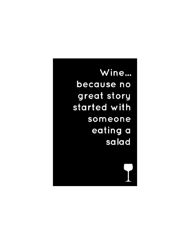Wine... because no great story started with someone eating a salad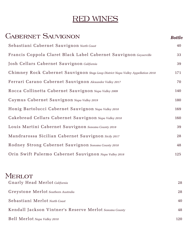# RED WINES

| <b>CABERNET SAUVIGNON</b>                                                        | <b>Bottle</b> |
|----------------------------------------------------------------------------------|---------------|
| Sebastiani Cabernet Sauvignon North Coast                                        | 40            |
| Francis Coppola Claret Black Label Cabernet Sauvignon Geyserville                | 33            |
| Josh Cellars Cabernet Sauvignon California                                       | 39            |
| Chimney Rock Cabernet Sauvignon Stags Leap District Napa Valley Appellation 2018 | 171           |
| Ferrari Carano Cabernet Sauvignon Alexander Valley 2017                          | 70            |
| Rocca Collinetta Cabernet Sauvignon Napa Valley 2009                             | 140           |
| Caymus Cabernet Sauvignon Napa Valley 2019                                       | 180           |
| Honig Bartolucci Cabernet Sauvignon Napa Valley 2010                             | 169           |
| Cakebread Cellars Cabernet Sauvignon Napa Valley 2018                            | 160           |
| Louis Martini Cabernet Sauvignon Sonoma County 2018                              | 39            |
| Mandrarossa Sicilian Cabernet Sauvignon Sicily 2017                              | 28            |
| Rodney Strong Cabernet Sauvignon Sonoma County 2018                              | 48            |
| Orin Swift Palermo Cabernet Sauvignon Napa Valley 2018                           | 125           |
| MERLOT                                                                           |               |
| Gnarly Head Merlot California                                                    | 28            |
| Greystone Merlot Southern Australia                                              | 28            |
| Sebastiani Merlot North Coast                                                    | 40            |
| Kendall Jackson Vintner's Reserve Merlot Sonoma County                           | 48            |

Bell Merlot *Napa Valley 2010* 120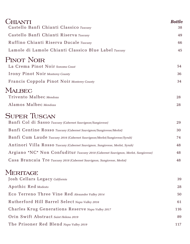| <b>CHIANTI</b><br>Castello Banfi Chianti Classico Tuscany                         | <b>Bottle</b><br>38 |
|-----------------------------------------------------------------------------------|---------------------|
|                                                                                   |                     |
| Castello Banfi Chianti Riserva Tuscany                                            | 49                  |
| Ruffino Chianti Riserva Ducale Tuscany                                            | 66                  |
| Lamole di Lamole Chianti Classico Blue Label Tuscany                              | 45                  |
| <b>PINOT NOIR</b><br>La Crema Pinot Noir Sonoma Coast                             | 54                  |
| <b>Irony Pinot Noir Monterey County</b>                                           | 36                  |
| Francis Coppola Pinot Noir Monterey County                                        | 34                  |
| <b>MALBEC</b>                                                                     |                     |
| Trivento Malbec Mendoza                                                           | 28                  |
| Alamos Malbec Mendoza                                                             | 28                  |
| <b>SUPER TUSCAN</b>                                                               |                     |
| Banfi Col di Sasso Tuscany (Cabernet Sauvignon/Sangiovese)                        | 29                  |
| Banfi Centine Rosso Tuscany (Cabernet Sauvignon/Sangiovese/Merlot)                | 30                  |
| Banfi Cum Laude Tuscany 2016 (Cabernet Sauvignon/Merlot/Sangiovese/Syrah)         | 74                  |
| Antinori Villa Rosso Tuscany (Cabernet Sauvignon, Sangiovese, Merlot, Syrah)      | 48                  |
| Argiano "NC" Non Confuditur Tuscany 2018 (Cabernet Sauvignon, Merlot, Sangiovese) | 48                  |
| Casa Brancaia Tre Tuscany 2018 (Cabernet Sauvignon, Sangiovese, Merlot)           | 48                  |
| <b>MERITAGE</b>                                                                   |                     |
| Josh Cellars Legacy California                                                    | 39                  |
| Apothic Red Modesto                                                               | 28                  |
| Eco Terreno Three Vine Red Alexander Valley 2014                                  | 50                  |
| Rutherford Hill Barrel Select Napa Valley 2016                                    | 61                  |
| Charles Krug Generations Reserve Napa Valley 2017                                 | 116                 |
| Orin Swift Abstract Saint Helena 2019                                             | 89                  |
| The Prisoner Red Blend Napa Valley 2019                                           | 117                 |
|                                                                                   |                     |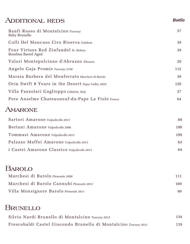## Additional reds

| Banfi Rosso di Montalcino Tuscany<br>Baby Brunello           | 57  |
|--------------------------------------------------------------|-----|
| Colli Del Mancuso Ciro Riserva Calabria                      | 39  |
| Four Virtues Red Zinfandel St. Helena<br>Bourbon Barrel Aged | 39  |
| Valori Montepulciano d'Abruzzo Abruzzo                       | 29  |
| Angelo Gaja Promis Tuscany 2108                              | 112 |
| Maraia Barbera del Monferrato Marchesi di Barolo             | 39  |
| Orin Swift 8 Years in the Desert Napa Valley 2020            | 120 |
| Villa Fazzolari Gaglioppo Calabria, Italy                    | 27  |
| Pere Anselme Chateauneuf-du-Pape La Fiole France             | 64  |

*Bottle*

## **AMARONE**

| Sartori Amarone Valpolicella 2015           | 89  |
|---------------------------------------------|-----|
| Bertani Amarone Valpolicella 2006           | 190 |
| Tommasi Amarone Valpolicella 2015           | 109 |
| Palazzo Maffei Amarone Valpolicella 2013    | 63  |
| i Castei Amarone Classico Valpolicella 2015 | 64  |

## Barolo

| Marchesi di Barolo Piemonte 2008         | 111 |  |
|------------------------------------------|-----|--|
| Marchesi di Barolo Cannubi Piemonte 2013 | 169 |  |
| Villa Monsignore Barolo Piemonte 2011    | 89  |  |

## Brunello

| Silvio Nardi Brunello di Montalcino Tuscany 2015                | 134 |
|-----------------------------------------------------------------|-----|
| Frescobaldi Castel Giocondo Brunello di Montalcino Tuscany 2012 | 119 |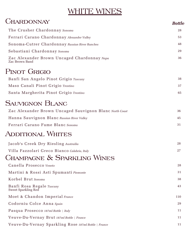# WHITE WINES

| <b>CHARDONNAY</b>                                             | <b>Bottle</b> |
|---------------------------------------------------------------|---------------|
| The Crusher Chardonnay Sonoma                                 | 28            |
| Ferrari Carano Chardonnay Alexander Valley                    | 53            |
| Sonoma-Cutrer Chardonnay Russian River Ranches                | 48            |
| Sebastiani Chardonnay Sonoma                                  | 29            |
| Zac Alexander Brown Uncaged Chardonnay Napa<br>Zac Brown Band | 36            |
| PINOT GRIGIO                                                  |               |
| Banfi San Angelo Pinot Grigio Tuscany                         | 38            |
| Maso Canali Pinot Grigio Trentino                             | 37            |
| Santa Margherita Pinot Grigio Trentino                        | 65            |
| <b>SAUVIGNON BLANC</b>                                        |               |
| Zac Alexander Brown Uncaged Sauvignon Blanc North Coast       | 36            |
| Hanna Sauvignon Blanc Russian River Valley                    | 45            |
| Ferrari Carano Fume Blanc Sonoma                              | 31            |
| ADDITIONAL WHITES                                             |               |
| Jacob's Creek Dry Riesling Austrailia                         | 28            |
| Villa Fazzolari Greco Bianco Calabria, Italy                  | 27            |
| CHAMPAGNE & SPARKLING WINES                                   |               |
| Canella Prosecco Veneto                                       | 28            |
| Martini & Rossi Asti Spumanti Piemonte                        | 31            |
| Korbel Brut Sonoma                                            | 38            |
| Banfi Rosa Regale Tuscany<br>Sweet Sparkling Red              | 43            |
| Moet & Chandon Imperial France                                | 110           |
| Codorniu Colce Anna Spain                                     | 29            |
| Pasqua Prosecco 187ml Bottle   Italy                          | 11            |
| Veuve-Du-Vernay Brut 187ml Bottle   France                    | 11            |
| Veuve-Du-Vernay Sparkling Rose 187ml Bottle   France          | 11            |